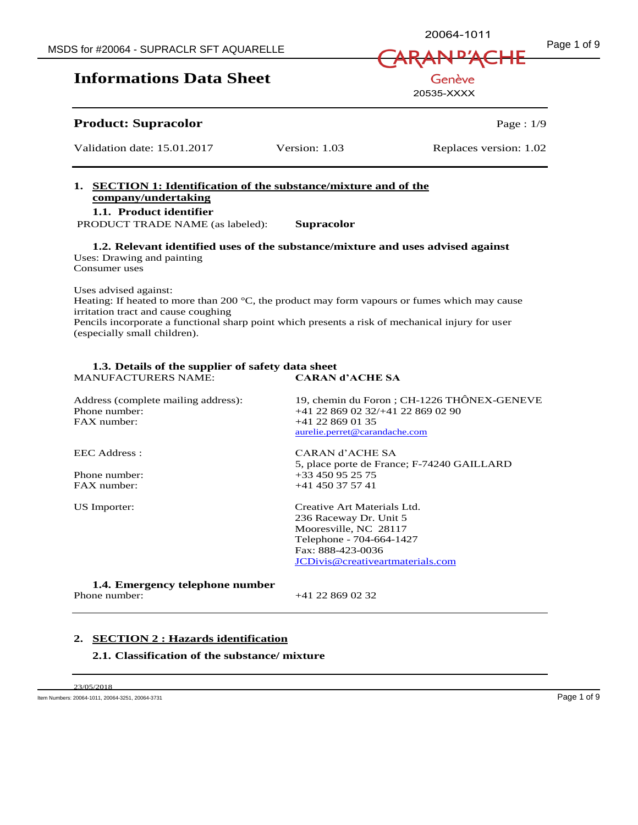## **Product: Supracolor Page : 1/9**

Validation date: 15.01.2017 Version: 1.03 Replaces version: 1.02

## **1. SECTION 1: Identification of the substance/mixture and of the company/undertaking**

**1.1. Product identifier** 

PRODUCT TRADE NAME (as labeled): **Supracolor**

**1.2. Relevant identified uses of the substance/mixture and uses advised against**  Uses: Drawing and painting Consumer uses

Uses advised against:

Heating: If heated to more than 200 °C, the product may form vapours or fumes which may cause irritation tract and cause coughing

Pencils incorporate a functional sharp point which presents a risk of mechanical injury for user (especially small children).

#### **1.3. Details of the supplier of safety data sheet**  MANUFACTURERS NAME:

Address (complete mailing address): 19, chemin du Foron ; CH-1226 THÔNEX-GENEVE<br>  $+41228690232/+41228690290$ Phone number:  $+41\ 22\ 869\ 02\ 32/+41\ 22\ 869\ 02\ 90$ <br>FAX number:  $+41\ 22\ 869\ 01\ 35$ +41 22 869 01 35 aurelie.perret@carandache.com EEC Address : CARAN d'ACHE SA 5, place porte de France; F-74240 GAILLARD Phone number:  $+33\,450\,95\,25\,75$ FAX number: +41 450 37 57 41 US Importer: Creative Art Materials Ltd. 236 Raceway Dr. Unit 5 Mooresville, NC 28117 Telephone - 704-664-1427 Fax: 888-423-0036 JCDivis@creativeartmaterials.com

**1.4. Emergency telephone number**

+41 22 869 02 32

## **2. SECTION 2 : Hazards identification**

## **2.1. Classification of the substance/ mixture**

23/05/2018 Item Numbers: 20064-1011, 20064-3251, 20064-3731 Page 1 of 9

20064-1011

Genève 20535-XXXX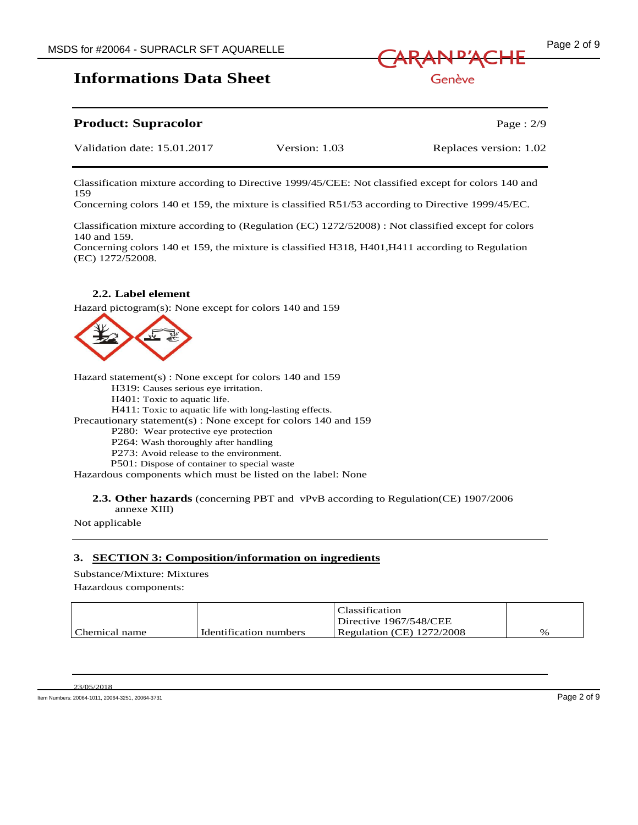

Classification mixture according to Directive 1999/45/CEE: Not classified except for colors 140 and 159

Concerning colors 140 et 159, the mixture is classified R51/53 according to Directive 1999/45/EC.

Classification mixture according to (Regulation (EC) 1272/52008) : Not classified except for colors 140 and 159.

Concerning colors 140 et 159, the mixture is classified H318, H401,H411 according to Regulation (EC) 1272/52008.

## **2.2. Label element**

Hazard pictogram(s): None except for colors 140 and 159



Hazard statement(s) : None except for colors 140 and 159

H319: Causes serious eye irritation.

H401: Toxic to aquatic life.

H411: Toxic to aquatic life with long-lasting effects.

Precautionary statement(s) : None except for colors 140 and 159

P280: Wear protective eye protection

P264: Wash thoroughly after handling

P273: Avoid release to the environment.

P501: Dispose of container to special waste

Hazardous components which must be listed on the label: None

## **2.3. Other hazards** (concerning PBT and vPvB according to Regulation(CE) 1907/2006

annexe XIII)

Not applicable

## **3. SECTION 3: Composition/information on ingredients**

Substance/Mixture: Mixtures

Hazardous components:

|               |                        | Classification            |      |
|---------------|------------------------|---------------------------|------|
|               |                        | Directive 1967/548/CEE    |      |
| Chemical name | Identification numbers | Regulation (CE) 1272/2008 | $\%$ |

| 23/05/2018 |  |
|------------|--|
|            |  |

Item Numbers: 20064-1011, 20064-3251, 20064-3731 Page 2 of 9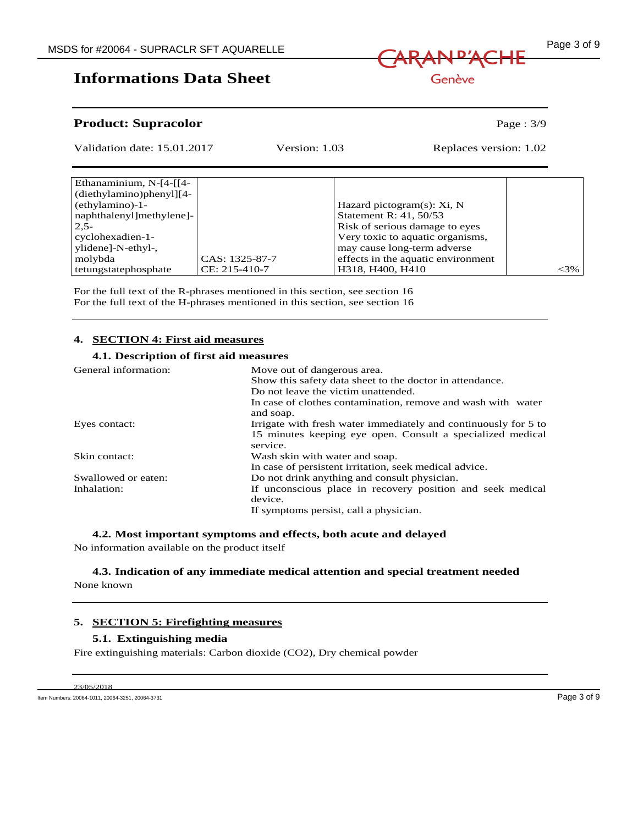

Genève

## **Product: Supracolor** Page : 3/9

| Validation date: 15.01.2017   |                 | Version: 1.03          | Replaces version: 1.02             |        |
|-------------------------------|-----------------|------------------------|------------------------------------|--------|
|                               |                 |                        |                                    |        |
| Ethanaminium, $N-[4-[14-162]$ |                 |                        |                                    |        |
| $(diethylamino)phenyl$ [4-    |                 |                        |                                    |        |
| $(ethylamino)-1-$             |                 |                        | Hazard pictogram(s): Xi, N         |        |
| naphthalenyl methylene]-      |                 | Statement R: 41, 50/53 |                                    |        |
| $2.5-$                        |                 |                        | Risk of serious damage to eyes     |        |
| cyclohexadien-1-              |                 |                        | Very toxic to aquatic organisms,   |        |
| ylidene]-N-ethyl-,            |                 |                        | may cause long-term adverse        |        |
| molybda                       | CAS: 1325-87-7  |                        | effects in the aquatic environment |        |
| tetungstatephosphate          | $CE: 215-410-7$ | H318, H400, H410       |                                    | $<3\%$ |

For the full text of the R-phrases mentioned in this section, see section 16 For the full text of the H-phrases mentioned in this section, see section 16

## **4. SECTION 4: First aid measures**

#### **4.1. Description of first aid measures**

| General information: | Move out of dangerous area.<br>Show this safety data sheet to the doctor in attendance. |  |  |
|----------------------|-----------------------------------------------------------------------------------------|--|--|
|                      | Do not leave the victim unattended.                                                     |  |  |
|                      | In case of clothes contamination, remove and wash with water<br>and soap.               |  |  |
| Eyes contact:        | Irrigate with fresh water immediately and continuously for 5 to                         |  |  |
|                      | 15 minutes keeping eye open. Consult a specialized medical<br>service.                  |  |  |
| Skin contact:        | Wash skin with water and soap.                                                          |  |  |
|                      | In case of persistent irritation, seek medical advice.                                  |  |  |
| Swallowed or eaten:  | Do not drink anything and consult physician.                                            |  |  |
| Inhalation:          | If unconscious place in recovery position and seek medical                              |  |  |
|                      | device.                                                                                 |  |  |
|                      | If symptoms persist, call a physician.                                                  |  |  |

## **4.2. Most important symptoms and effects, both acute and delayed**

No information available on the product itself

# **4.3. Indication of any immediate medical attention and special treatment needed**

None known

#### **5. SECTION 5: Firefighting measures**

#### **5.1. Extinguishing media**

Fire extinguishing materials: Carbon dioxide (CO2), Dry chemical powder

23/05/2018

Item Numbers: 20064-1011, 20064-3251, 20064-3731 Page 3 of 9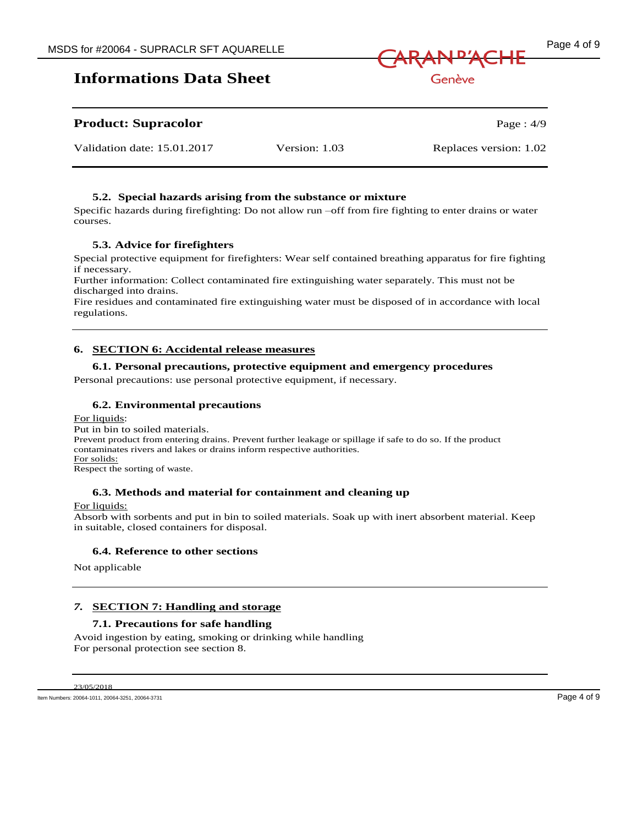



Genève

## **Product: Supracolor** Page : 4/9

| Validation date: 15.01.2017 | Version: 1.03 | Replaces version: 1.02 |
|-----------------------------|---------------|------------------------|

## **5.2. Special hazards arising from the substance or mixture**

Specific hazards during firefighting: Do not allow run –off from fire fighting to enter drains or water courses.

## **5.3. Advice for firefighters**

Special protective equipment for firefighters: Wear self contained breathing apparatus for fire fighting if necessary.

Further information: Collect contaminated fire extinguishing water separately. This must not be discharged into drains.

Fire residues and contaminated fire extinguishing water must be disposed of in accordance with local regulations.

## **6. SECTION 6: Accidental release measures**

## **6.1. Personal precautions, protective equipment and emergency procedures**

Personal precautions: use personal protective equipment, if necessary.

## **6.2. Environmental precautions**

#### For liquids: Put in bin to soiled materials. Prevent product from entering drains. Prevent further leakage or spillage if safe to do so. If the product contaminates rivers and lakes or drains inform respective authorities.

For solids:

Respect the sorting of waste.

## **6.3. Methods and material for containment and cleaning up**

For liquids:

Absorb with sorbents and put in bin to soiled materials. Soak up with inert absorbent material. Keep in suitable, closed containers for disposal.

## **6.4. Reference to other sections**

Not applicable

## *7.* **SECTION 7: Handling and storage**

## **7.1. Precautions for safe handling**

Avoid ingestion by eating, smoking or drinking while handling For personal protection see section 8.

23/05/2018

Item Numbers: 20064-1011, 20064-3251, 20064-3731 Page 4 of 9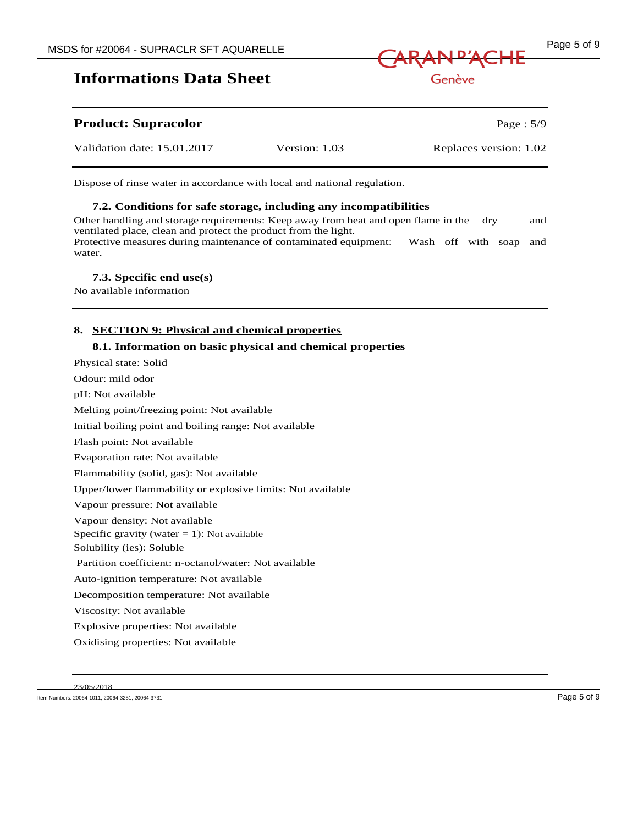

| <b>Product: Supracolor</b>  |               | Page : $5/9$           |
|-----------------------------|---------------|------------------------|
| Validation date: 15.01.2017 | Version: 1.03 | Replaces version: 1.02 |

Dispose of rinse water in accordance with local and national regulation.

#### **7.2. Conditions for safe storage, including any incompatibilities**

Other handling and storage requirements: Keep away from heat and open flame in the dry and ventilated place, clean and protect the product from the light. Protective measures during maintenance of contaminated equipment: Wash off with soap and water.

#### **7.3. Specific end use(s)**

No available information

## **8. SECTION 9: Physical and chemical properties**

#### **8.1. Information on basic physical and chemical properties**

Physical state: Solid Odour: mild odor pH: Not available Melting point/freezing point: Not available Initial boiling point and boiling range: Not available Flash point: Not available Evaporation rate: Not available Flammability (solid, gas): Not available Upper/lower flammability or explosive limits: Not available Vapour pressure: Not available Vapour density: Not available Specific gravity (water  $= 1$ ): Not available Solubility (ies): Soluble Partition coefficient: n-octanol/water: Not available Auto-ignition temperature: Not available Decomposition temperature: Not available Viscosity: Not available Explosive properties: Not available Oxidising properties: Not available

23/05/2018

Item Numbers: 20064-1011, 20064-3251, 20064-3731 Page 5 of 9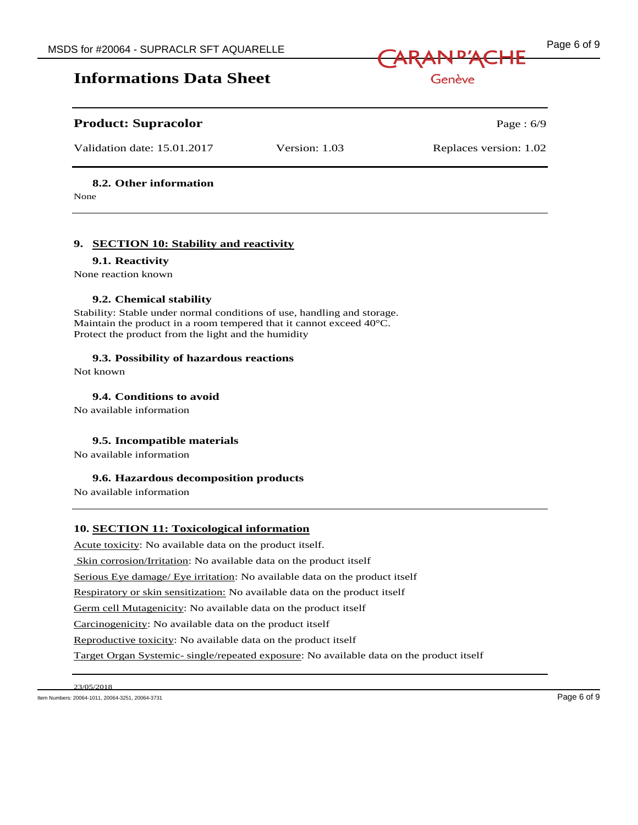

Genève

## **Product: Supracolor** Page : 6/9

Validation date: 15.01.2017 Version: 1.03 Replaces version: 1.02

## **8.2. Other information**

None

## **9. SECTION 10: Stability and reactivity**

## **9.1. Reactivity**

None reaction known

## **9.2. Chemical stability**

Stability: Stable under normal conditions of use, handling and storage. Maintain the product in a room tempered that it cannot exceed 40°C. Protect the product from the light and the humidity

## **9.3. Possibility of hazardous reactions**

Not known

**9.4. Conditions to avoid**

No available information

## **9.5. Incompatible materials**

No available information

## **9.6. Hazardous decomposition products**

No available information

## **10. SECTION 11: Toxicological information**

Acute toxicity: No available data on the product itself.

Skin corrosion/Irritation: No available data on the product itself

Serious Eye damage/ Eye irritation: No available data on the product itself

Respiratory or skin sensitization: No available data on the product itself

Germ cell Mutagenicity: No available data on the product itself

Carcinogenicity: No available data on the product itself

Reproductive toxicity: No available data on the product itself

Target Organ Systemic- single/repeated exposure: No available data on the product itself

23/05/2018

Item Numbers: 20064-1011, 20064-3251, 20064-3731 Page 6 of 9

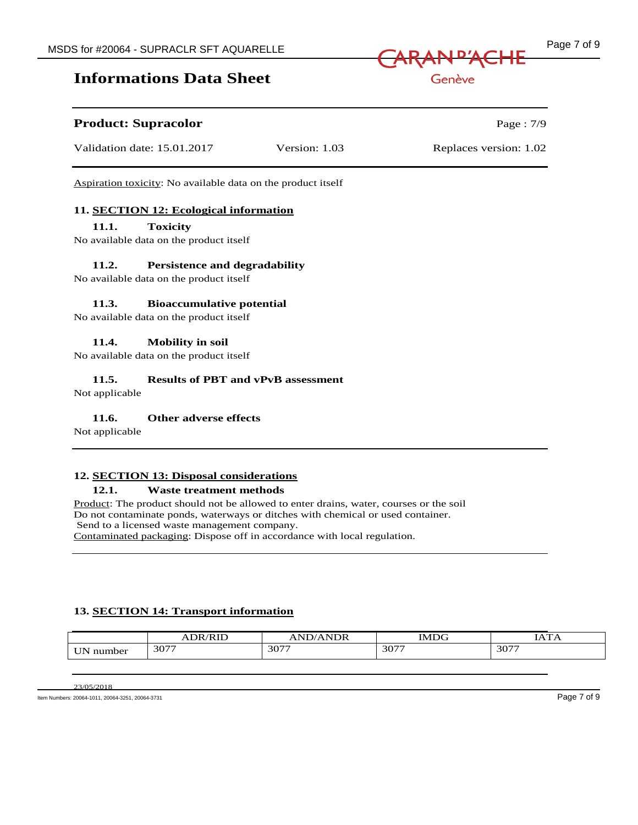## **Product: Supracolor** Page : 7/9

Validation date: 15.01.2017 Version: 1.03 Replaces version: 1.02

Aspiration toxicity: No available data on the product itself

## **11. SECTION 12: Ecological information**

## **11.1. Toxicity**

No available data on the product itself

## **11.2. Persistence and degradability**

No available data on the product itself

## **11.3. Bioaccumulative potential**

No available data on the product itself

## **11.4. Mobility in soil**

No available data on the product itself

## **11.5. Results of PBT and vPvB assessment**

Not applicable

## **11.6. Other adverse effects**

Not applicable

## **12. SECTION 13: Disposal considerations**

#### **12.1. Waste treatment methods**

Product: The product should not be allowed to enter drains, water, courses or the soil Do not contaminate ponds, waterways or ditches with chemical or used container. Send to a licensed waste management company. Contaminated packaging: Dispose off in accordance with local regulation.

## **13. SECTION 14: Transport information**

|                  | DR/RID<br>AĽ<br>'KIL | <b>NDR</b><br>--<br>N. | <b>IMDG</b> | T A T T A |
|------------------|----------------------|------------------------|-------------|-----------|
| $   -$<br>number | 3077                 | 3077                   | 3077        | 3077      |

23/05/2018

Item Numbers: 20064-1011, 20064-3251, 20064-3731 Page 7 of 9



Genève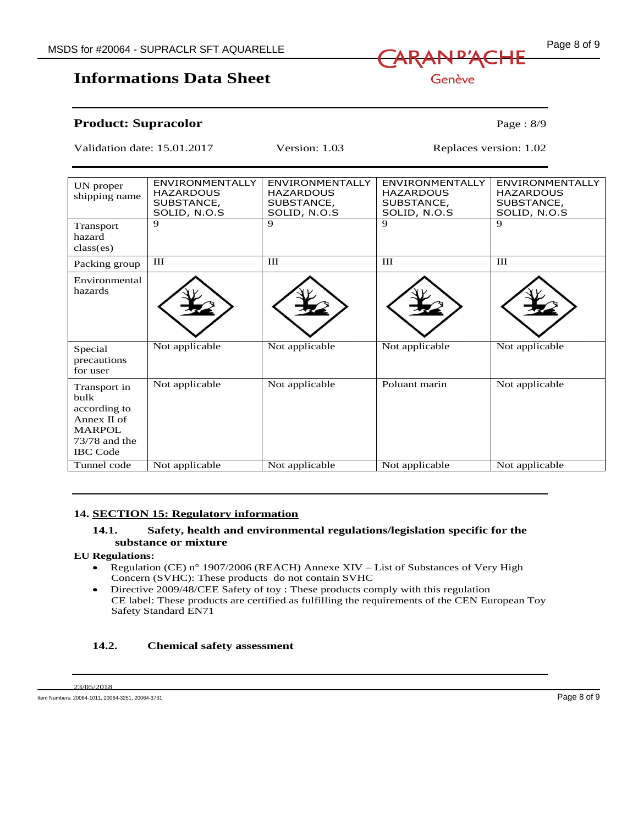

Genève

## **Informations Data Sheet**

**Product: Supracolor** Page : 8/9

Validation date: 15.01.2017 Version: 1.03 Replaces version: 1.02

| UN proper<br>shipping name                                                                               | <b>ENVIRONMENTALLY</b><br><b>HAZARDOUS</b><br>SUBSTANCE,<br>SOLID, N.O.S | <b>ENVIRONMENTALLY</b><br><b>HAZARDOUS</b><br>SUBSTANCE,<br>SOLID, N.O.S | <b>ENVIRONMENTALLY</b><br><b>HAZARDOUS</b><br>SUBSTANCE,<br>SOLID, N.O.S | <b>ENVIRONMENTALLY</b><br><b>HAZARDOUS</b><br>SUBSTANCE,<br>SOLID, N.O.S |
|----------------------------------------------------------------------------------------------------------|--------------------------------------------------------------------------|--------------------------------------------------------------------------|--------------------------------------------------------------------------|--------------------------------------------------------------------------|
| Transport<br>hazard<br>class(es)                                                                         | 9                                                                        | 9                                                                        | 9                                                                        | 9                                                                        |
| Packing group                                                                                            | $\Pi$                                                                    | $\rm III$                                                                | III                                                                      | III                                                                      |
| Environmental<br>hazards                                                                                 |                                                                          |                                                                          |                                                                          |                                                                          |
| Special<br>precautions<br>for user                                                                       | Not applicable                                                           | Not applicable                                                           | Not applicable                                                           | Not applicable                                                           |
| Transport in<br>bulk<br>according to<br>Annex II of<br><b>MARPOL</b><br>73/78 and the<br><b>IBC</b> Code | Not applicable                                                           | Not applicable                                                           | Poluant marin                                                            | Not applicable                                                           |
| Tunnel code                                                                                              | Not applicable                                                           | Not applicable                                                           | Not applicable                                                           | Not applicable                                                           |

## **14. SECTION 15: Regulatory information**

## **14.1. Safety, health and environmental regulations/legislation specific for the substance or mixture**

#### **EU Regulations:**

- Regulation (CE) n° 1907/2006 (REACH) Annexe XIV List of Substances of Very High Concern (SVHC): These products do not contain SVHC
- Directive 2009/48/CEE Safety of toy : These products comply with this regulation CE label: These products are certified as fulfilling the requirements of the CEN European Toy Safety Standard EN71

#### **14.2. Chemical safety assessment**

23/05/2018

Item Numbers: 20064-1011, 20064-3251, 20064-3731 Page 8 of 9